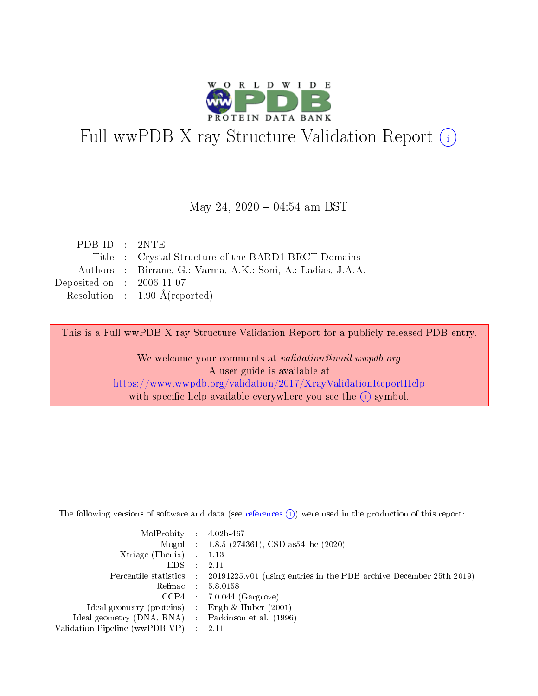

# Full wwPDB X-ray Structure Validation Report (i)

#### May 24,  $2020 - 04:54$  am BST

| PDB ID : 2NTE               |                                                              |
|-----------------------------|--------------------------------------------------------------|
|                             | Title : Crystal Structure of the BARD1 BRCT Domains          |
|                             | Authors : Birrane, G.; Varma, A.K.; Soni, A.; Ladias, J.A.A. |
| Deposited on : $2006-11-07$ |                                                              |
|                             | Resolution : $1.90 \text{ Å}$ (reported)                     |

This is a Full wwPDB X-ray Structure Validation Report for a publicly released PDB entry.

We welcome your comments at validation@mail.wwpdb.org A user guide is available at <https://www.wwpdb.org/validation/2017/XrayValidationReportHelp> with specific help available everywhere you see the  $(i)$  symbol.

The following versions of software and data (see [references](https://www.wwpdb.org/validation/2017/XrayValidationReportHelp#references)  $(1)$ ) were used in the production of this report:

| $MolProbability$ : 4.02b-467                        |                                                                                            |
|-----------------------------------------------------|--------------------------------------------------------------------------------------------|
|                                                     | Mogul : $1.8.5$ (274361), CSD as 541be (2020)                                              |
| Xtriage (Phenix) $: 1.13$                           |                                                                                            |
| EDS                                                 | -2.11                                                                                      |
|                                                     | Percentile statistics : 20191225.v01 (using entries in the PDB archive December 25th 2019) |
| Refmac 58.0158                                      |                                                                                            |
|                                                     | $CCP4$ 7.0.044 (Gargrove)                                                                  |
| Ideal geometry (proteins) : Engh $\&$ Huber (2001)  |                                                                                            |
| Ideal geometry (DNA, RNA) : Parkinson et al. (1996) |                                                                                            |
| Validation Pipeline (wwPDB-VP) : 2.11               |                                                                                            |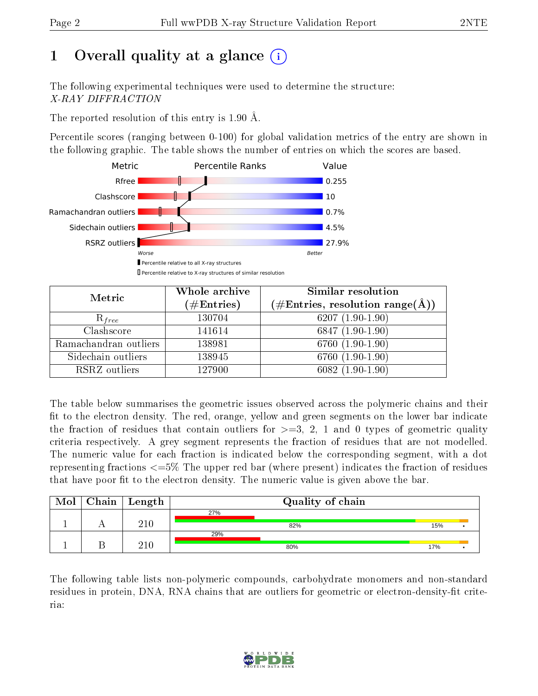## 1 [O](https://www.wwpdb.org/validation/2017/XrayValidationReportHelp#overall_quality)verall quality at a glance  $(i)$

The following experimental techniques were used to determine the structure: X-RAY DIFFRACTION

The reported resolution of this entry is 1.90 Å.

Percentile scores (ranging between 0-100) for global validation metrics of the entry are shown in the following graphic. The table shows the number of entries on which the scores are based.



| Metric                | Whole archive<br>$(\#\text{Entries})$ | Similar resolution<br>$(\#\text{Entries}, \, \text{resolution range}(\textup{\AA}))$ |
|-----------------------|---------------------------------------|--------------------------------------------------------------------------------------|
| $R_{free}$            | 130704                                | $6207(1.90-1.90)$                                                                    |
| Clashscore            | 141614                                | $6847(1.90-1.90)$                                                                    |
| Ramachandran outliers | 138981                                | 6760 (1.90-1.90)                                                                     |
| Sidechain outliers    | 138945                                | 6760 (1.90-1.90)                                                                     |
| RSRZ outliers         | 127900                                | $6082(1.90-1.90)$                                                                    |

The table below summarises the geometric issues observed across the polymeric chains and their fit to the electron density. The red, orange, yellow and green segments on the lower bar indicate the fraction of residues that contain outliers for  $\geq=3$ , 2, 1 and 0 types of geometric quality criteria respectively. A grey segment represents the fraction of residues that are not modelled. The numeric value for each fraction is indicated below the corresponding segment, with a dot representing fractions <=5% The upper red bar (where present) indicates the fraction of residues that have poor fit to the electron density. The numeric value is given above the bar.

| Mol | $\vert$ Chain $\vert$ Length |     | Quality of chain |     |  |
|-----|------------------------------|-----|------------------|-----|--|
|     |                              | 27% |                  |     |  |
|     | $210\,$                      |     | 82%              | 15% |  |
|     |                              | 29% |                  |     |  |
|     | $210\,$                      |     | 80%              | 17% |  |

The following table lists non-polymeric compounds, carbohydrate monomers and non-standard residues in protein, DNA, RNA chains that are outliers for geometric or electron-density-fit criteria:

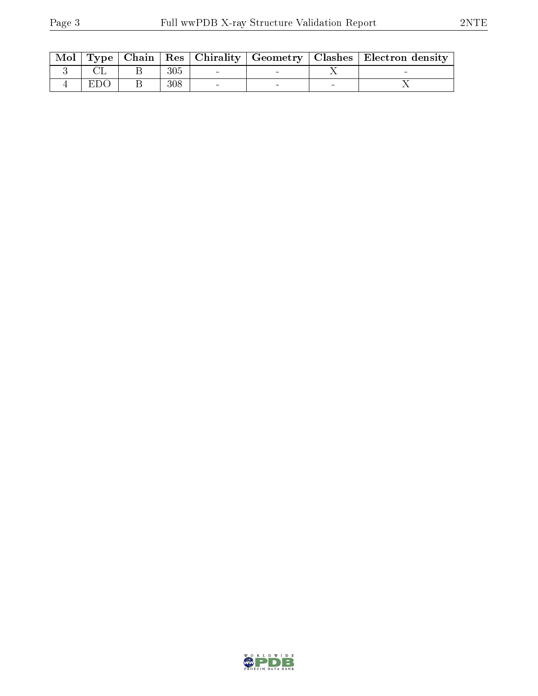|     |         |  | Mol   Type   Chain   Res   Chirality   Geometry   Clashes   Electron density |
|-----|---------|--|------------------------------------------------------------------------------|
|     | 305     |  |                                                                              |
| EDO | $308\,$ |  |                                                                              |

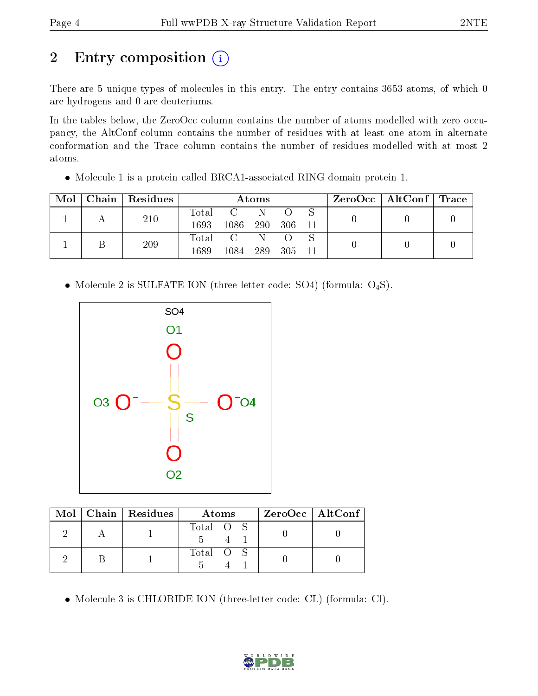# 2 Entry composition (i)

There are 5 unique types of molecules in this entry. The entry contains 3653 atoms, of which 0 are hydrogens and 0 are deuteriums.

In the tables below, the ZeroOcc column contains the number of atoms modelled with zero occupancy, the AltConf column contains the number of residues with at least one atom in alternate conformation and the Trace column contains the number of residues modelled with at most 2 atoms.

Molecule 1 is a protein called BRCA1-associated RING domain protein 1.

| Mol | Chain   Residues | Atoms       |               |     |     |     | $\text{ZeroOcc}$   AltConf   Trace |  |  |
|-----|------------------|-------------|---------------|-----|-----|-----|------------------------------------|--|--|
|     | 210              | Total       |               |     |     |     |                                    |  |  |
|     |                  | 1693        | $1086\,$      | 290 | 306 | 11  |                                    |  |  |
|     | 209              | $\rm Total$ | $\mathcal{C}$ |     |     |     |                                    |  |  |
|     |                  | 1689        | 1084          | 289 | 305 | -11 |                                    |  |  |

• Molecule 2 is SULFATE ION (three-letter code: SO4) (formula:  $O_4S$ ).



|  | Mol   Chain   Residues | Atoms     | $ZeroOcc$   AltConf |
|--|------------------------|-----------|---------------------|
|  |                        | Total O S |                     |
|  |                        | Total O S |                     |

Molecule 3 is CHLORIDE ION (three-letter code: CL) (formula: Cl).

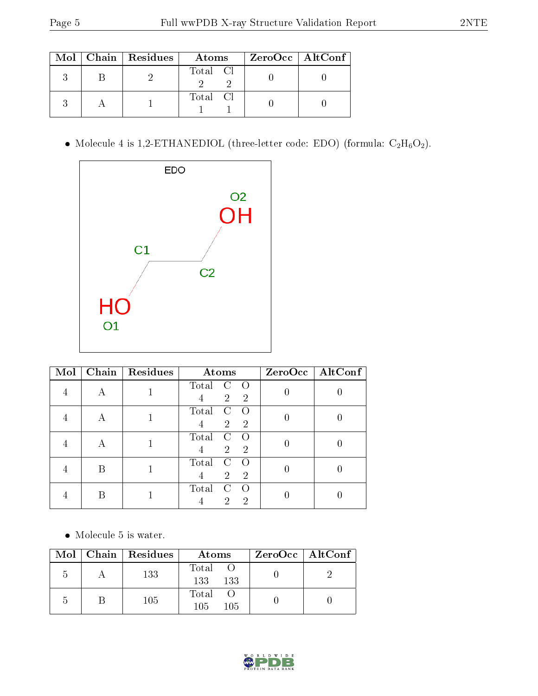|  | $Mol$   Chain   Residues | Atoms    | $\rm ZeroOcc \mid AltConf$ |  |
|--|--------------------------|----------|----------------------------|--|
|  |                          | Total Cl |                            |  |
|  |                          | Total Cl |                            |  |

 $\bullet$  Molecule 4 is 1,2-ETHANEDIOL (three-letter code: EDO) (formula:  $\rm{C_2H_6O_2}).$ 



| Mol |   | Chain   Residues | Atoms                                                                         |   | ZeroOcc   AltConf |
|-----|---|------------------|-------------------------------------------------------------------------------|---|-------------------|
|     |   |                  | Total<br>С<br>$\left( \right)$<br>$\overline{2}$<br>$\overline{2}$<br>4       |   |                   |
|     | А |                  | Total<br>C<br>$\left($<br>$\overline{2}$<br>$\overline{2}$                    |   |                   |
|     | A |                  | Total<br>$\rm C$<br>$\left( \right)$<br>$\overline{2}$<br>$\overline{2}$<br>4 | U |                   |
|     | R |                  | Total<br>C<br>$\overline{2}$<br>$\overline{2}$<br>4                           |   |                   |
|     | B |                  | Total<br>C<br>$\left( \right)$<br>2<br>$\overline{2}$                         |   |                   |

 $\bullet\,$  Molecule 5 is water.

|    | Mol   Chain   Residues | Atoms                | $ZeroOcc \   \ AltConf$ |  |
|----|------------------------|----------------------|-------------------------|--|
| .) | 133                    | Total<br>133<br>-133 |                         |  |
| h  | 105                    | Total<br>105<br>105  |                         |  |

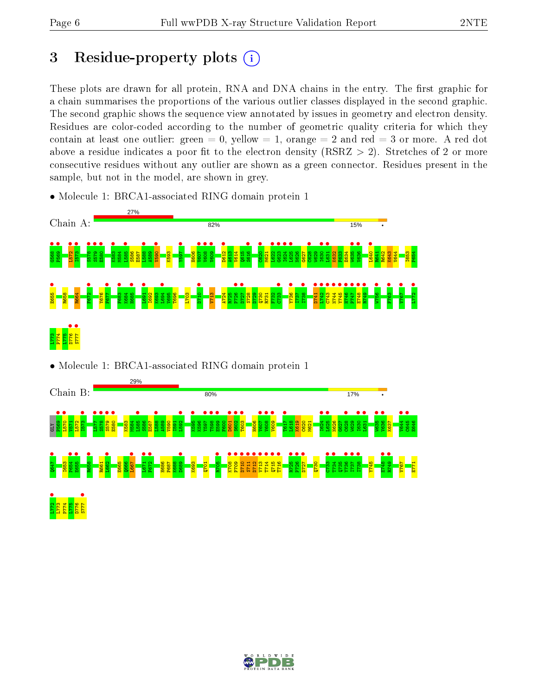### 3 Residue-property plots  $(i)$

These plots are drawn for all protein, RNA and DNA chains in the entry. The first graphic for a chain summarises the proportions of the various outlier classes displayed in the second graphic. The second graphic shows the sequence view annotated by issues in geometry and electron density. Residues are color-coded according to the number of geometric quality criteria for which they contain at least one outlier: green  $= 0$ , yellow  $= 1$ , orange  $= 2$  and red  $= 3$  or more. A red dot above a residue indicates a poor fit to the electron density (RSRZ  $> 2$ ). Stretches of 2 or more consecutive residues without any outlier are shown as a green connector. Residues present in the sample, but not in the model, are shown in grey.

• Molecule 1: BRCA1-associated RING domain protein 1



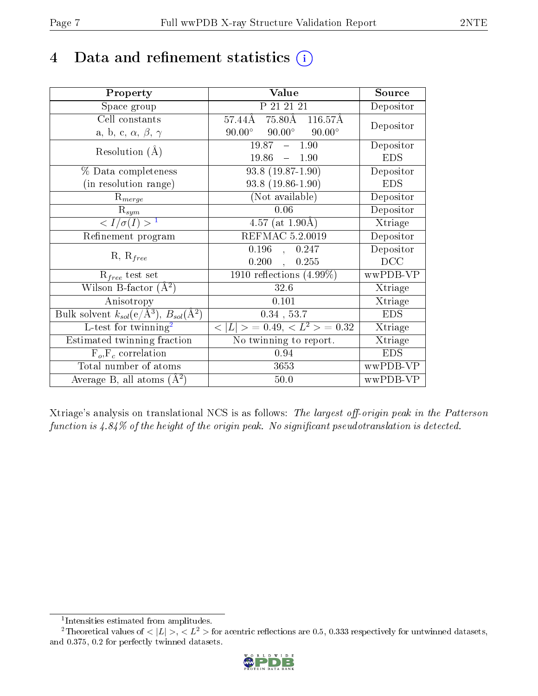### 4 Data and refinement statistics  $(i)$

| Property                                                         | Value                                            | Source     |
|------------------------------------------------------------------|--------------------------------------------------|------------|
| Space group                                                      | P 21 21 21                                       | Depositor  |
| Cell constants                                                   | $75.80\text{\AA}$ $116.57\text{\AA}$<br>57.44Å   | Depositor  |
| a, b, c, $\alpha$ , $\beta$ , $\gamma$                           | $90.00^{\circ}$ $90.00^{\circ}$<br>$90.00^\circ$ |            |
| Resolution $(A)$                                                 | $19.87 - 1.90$                                   | Depositor  |
|                                                                  | 19.86<br>$-1.90$                                 | <b>EDS</b> |
| % Data completeness                                              | $93.8(19.87-1.90)$                               | Depositor  |
| (in resolution range)                                            | $93.8(19.86-1.90)$                               | <b>EDS</b> |
| $R_{merge}$                                                      | (Not available)                                  | Depositor  |
| $\mathrm{R}_{sym}$                                               | 0.06                                             | Depositor  |
| $\langle I/\sigma(I) \rangle^{-1}$                               | 4.57 (at $1.90\text{\AA}$ )                      | Xtriage    |
| Refinement program                                               | REFMAC 5.2.0019                                  | Depositor  |
|                                                                  | $0.196$ ,<br>0.247                               | Depositor  |
| $R, R_{free}$                                                    | 0.200,<br>0.255                                  | DCC        |
| $R_{free}$ test set                                              | $1910$ reflections $(4.99\%)$                    | wwPDB-VP   |
| Wilson B-factor $(A^2)$                                          | 32.6                                             | Xtriage    |
| Anisotropy                                                       | 0.101                                            | Xtriage    |
| Bulk solvent $k_{sol}(\text{e}/\text{A}^3), B_{sol}(\text{A}^2)$ | $0.34$ , 53.7                                    | <b>EDS</b> |
| L-test for $\mathrm{twinning}^2$                                 | $< L >$ = 0.49, $< L^2 >$ = 0.32                 | Xtriage    |
| Estimated twinning fraction                                      | No twinning to report.                           | Xtriage    |
| $F_o, F_c$ correlation                                           | 0.94                                             | <b>EDS</b> |
| Total number of atoms                                            | 3653                                             | wwPDB-VP   |
| Average B, all atoms $(A^2)$                                     | $50.0$                                           | wwPDB-VP   |

Xtriage's analysis on translational NCS is as follows: The largest off-origin peak in the Patterson function is  $4.84\%$  of the height of the origin peak. No significant pseudotranslation is detected.

<sup>&</sup>lt;sup>2</sup>Theoretical values of  $\langle |L| \rangle$ ,  $\langle L^2 \rangle$  for acentric reflections are 0.5, 0.333 respectively for untwinned datasets, and 0.375, 0.2 for perfectly twinned datasets.



<span id="page-6-1"></span><span id="page-6-0"></span><sup>1</sup> Intensities estimated from amplitudes.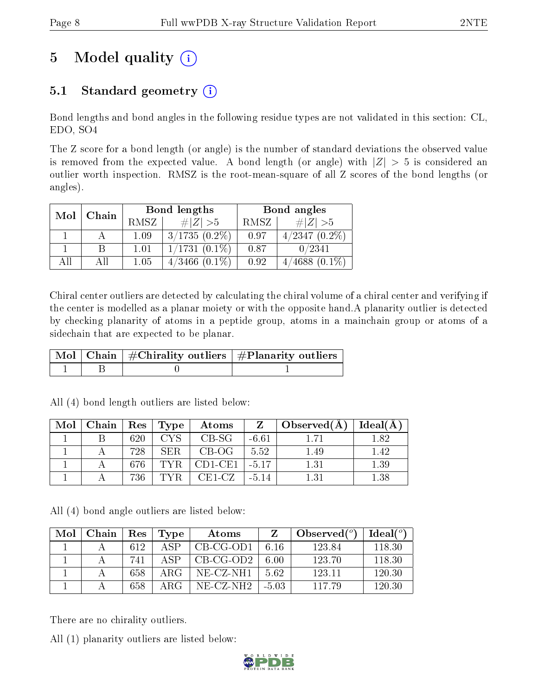# 5 Model quality  $(i)$

### 5.1 Standard geometry  $(i)$

Bond lengths and bond angles in the following residue types are not validated in this section: CL, EDO, SO4

The Z score for a bond length (or angle) is the number of standard deviations the observed value is removed from the expected value. A bond length (or angle) with  $|Z| > 5$  is considered an outlier worth inspection. RMSZ is the root-mean-square of all Z scores of the bond lengths (or angles).

| Mol<br>Chain |  |      | Bond lengths       | Bond angles |                    |  |
|--------------|--|------|--------------------|-------------|--------------------|--|
|              |  | RMSZ | $\# Z  > 5$        | RMSZ        | $\# Z  > 5$        |  |
|              |  | 1.09 | $3/1735(0.2\%)$    | 0.97        | $4/2347(0.2\%)$    |  |
|              |  | 1.01 | $1/1731(0.1\%)$    | 0.87        | 0/2341             |  |
| All          |  | 1.05 | $4/3466$ $(0.1\%)$ | 0.92        | $(0.1\%)$<br>/4688 |  |

Chiral center outliers are detected by calculating the chiral volume of a chiral center and verifying if the center is modelled as a planar moiety or with the opposite hand.A planarity outlier is detected by checking planarity of atoms in a peptide group, atoms in a mainchain group or atoms of a sidechain that are expected to be planar.

|  | $\mid$ Mol $\mid$ Chain $\mid$ #Chirality outliers $\mid$ #Planarity outliers $\mid$ |
|--|--------------------------------------------------------------------------------------|
|  |                                                                                      |

| Mol | Chain |     | $\mid$ $\text{Res} \mid \text{Type} \mid$ | Atoms     | Z       | Observed(A) | Ideal(A) |
|-----|-------|-----|-------------------------------------------|-----------|---------|-------------|----------|
|     |       | 620 | <b>CYS</b>                                | $CB-SG$   | $-6.61$ |             | 1.82     |
|     |       | 728 | SER.                                      | $CB-OG$   | 5.52    | 1.49        | 1.42     |
|     |       | 676 |                                           | $CD1-CE1$ | $-5.17$ | 1.31        | 1.39     |
|     |       | 736 |                                           | CE1-CZ    | $-5.14$ | 1.31        | 1.38     |

All (4) bond length outliers are listed below:

All (4) bond angle outliers are listed below:

| Mol | Chain | Res | Type | Atoms       |         | Observed $(°)$ | Ideal $(^\circ)$ |
|-----|-------|-----|------|-------------|---------|----------------|------------------|
|     |       | 612 | A SP | $CB-CG-OD1$ | 6.16    | 123.84         | 118.30           |
|     |       | 741 | ASP  | $CB-CG-OD2$ | 6.00    | 123.70         | 118.30           |
|     |       | 658 | ARG  | NE-CZ-NH1   | 562     | 123.11         | 120.30           |
|     |       | 658 | ARG  | NE-CZ-NH2   | $-5.03$ | 117.79         | 120.30           |

There are no chirality outliers.

All (1) planarity outliers are listed below:

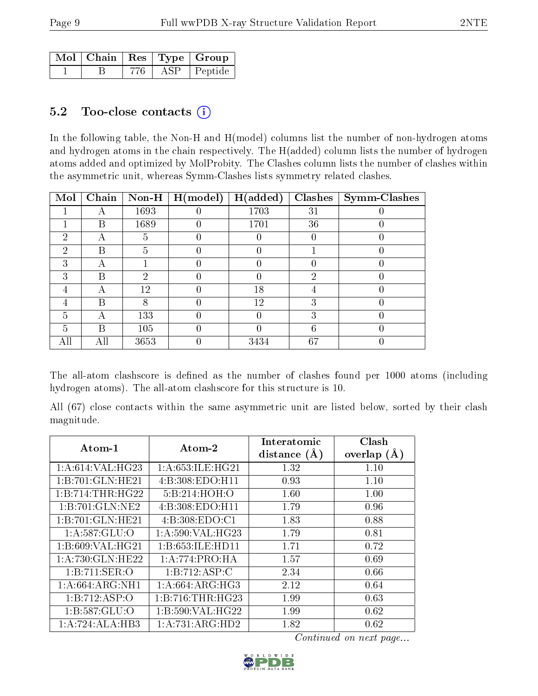|  |     |     | Mol   Chain   Res   Type   Group |
|--|-----|-----|----------------------------------|
|  | 776 | ASP | $\vert$ Peptide                  |

#### 5.2 Too-close contacts  $(i)$

In the following table, the Non-H and H(model) columns list the number of non-hydrogen atoms and hydrogen atoms in the chain respectively. The H(added) column lists the number of hydrogen atoms added and optimized by MolProbity. The Clashes column lists the number of clashes within the asymmetric unit, whereas Symm-Clashes lists symmetry related clashes.

| Mol            | Chain | $Non-H$ | H (model) | H(added) | <b>Clashes</b> | Symm-Clashes |
|----------------|-------|---------|-----------|----------|----------------|--------------|
|                | А     | 1693    |           | 1703     | 31             |              |
|                | B     | 1689    | $\theta$  | 1701     | 36             |              |
| $\overline{2}$ | А     | 5       | 0         |          | 0              |              |
| $\overline{2}$ | В     | 5       | 0         |          |                |              |
| 3              | А     |         | 0         |          |                |              |
| 3              | В     | 2       |           |          | 2              |              |
| 4              | А     | 12      |           | 18       |                |              |
| 4              | В     | 8       |           | 12       | 3              |              |
| 5              | А     | 133     |           |          | 3              |              |
| 5              | В     | 105     |           |          | 6              |              |
| All            | All   | 3653    |           | 3434     | 67             |              |

The all-atom clashscore is defined as the number of clashes found per 1000 atoms (including hydrogen atoms). The all-atom clashscore for this structure is 10.

All (67) close contacts within the same asymmetric unit are listed below, sorted by their clash magnitude.

| Atom-1              | $\boldsymbol{\mathrm{Atom}\text{-}2}$ | Interatomic    | Clash         |
|---------------------|---------------------------------------|----------------|---------------|
|                     |                                       | distance $(A)$ | overlap $(A)$ |
| 1: A:614: VAL: HG23 | 1: A:653: ILE: HG21                   | 1.32           | 1.10          |
| 1:B:701:GLN:HE21    | 4: B: 308: EDO: H11                   | 0.93           | 1.10          |
| 1:B:714:THR:HG22    | 5:B:214:HOH:O                         | 1.60           | 1.00          |
| 1:B:701:GLN:NE2     | 4: B: 308: EDO: H11                   | 1.79           | 0.96          |
| 1:B:701:GLN:HE21    | 4: B: 308: EDO: C1                    | 1.83           | 0.88          |
| 1:A:587:GLU:O       | 1: A:590: VAL:HG23                    | 1.79           | 0.81          |
| 1:B:609:VAL:HG21    | 1:B:653:ILE:HD11                      | 1.71           | 0.72          |
| 1: A:730: GLN: HE22 | 1:A:774:PRO:HA                        | 1.57           | 0.69          |
| 1:B:711:SER:O       | 1:B:712:ASP:C                         | 2.34           | 0.66          |
| 1: A:664: ARG:NH1   | 1: A:664: ARG:HG3                     | 2.12           | 0.64          |
| 1:B:712:ASP:O       | 1:B:716:THR:HG23                      | 1.99           | 0.63          |
| 1: B: 587: GLU: O   | 1:B:590:VAL:HG22                      | 1.99           | 0.62          |
| 1:A:724:ALA:HB3     | 1:A:731:ARG:HD2                       | 1.82           | 0.62          |

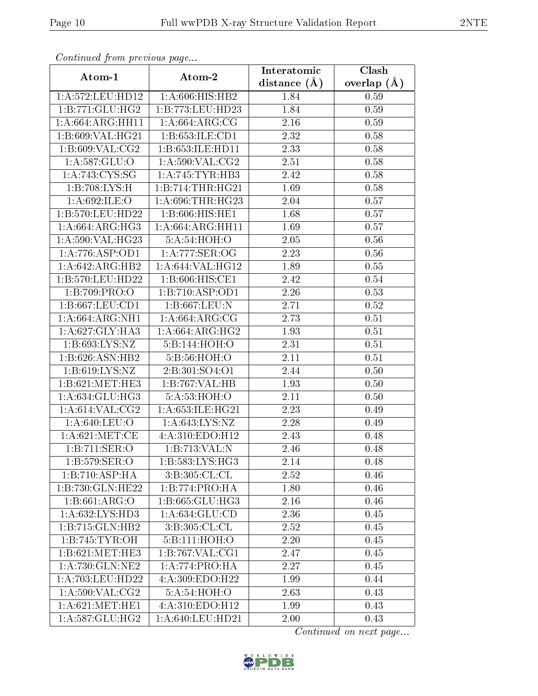| Continuea from previous page        |                                     | Interatomic       | Clash           |
|-------------------------------------|-------------------------------------|-------------------|-----------------|
| Atom-1                              | Atom-2                              | distance $(A)$    | overlap $(\AA)$ |
| 1: A:572:LEU:HD12                   | 1: A:606: HIS: HB2                  | 1.84              | 0.59            |
| 1:B:771:GLU:HG2                     | 1:B:773:LEU:HD23                    | 1.84              | 0.59            |
| 1:A:664:ARG:HH11                    | 1: A:664: ARG: CG                   | 2.16              | 0.59            |
| 1:B:609:VAL:HG21                    | 1:B:653:ILE:CD1                     | 2.32              | 0.58            |
| 1: B:609: VAL: CG2                  | 1:B:653:ILE:HD11                    | 2.33              | 0.58            |
| 1: A: 587: GLU:O                    | 1:A:590:VAL:CG2                     | 2.51              | 0.58            |
| 1: A:743:CYS:SG                     | 1:A:745:TTVR:HB3                    | 2.42              | 0.58            |
| 1:B:708:LYS:H                       | 1:B:714:THR:HG21                    | 1.69              | 0.58            |
| 1: A:692: ILE: O                    | 1:A:696:THR:HG23                    | 2.04              | 0.57            |
| 1:B:570:LEU:HD22                    | 1:B:606:HIS:HE1                     | $1.\overline{68}$ | 0.57            |
| 1: A:664: ARG: HG3                  | 1: A:664: ARG:HH11                  | 1.69              | 0.57            |
| 1:A:590:VAL:HG23                    | 5:A:54:HOH:O                        | $\overline{2.05}$ | 0.56            |
| 1:A:776:ASP:OD1                     | 1: A:777: SER:OG                    | 2.23              | 0.56            |
| $1:A:642:A\overline{RG:H}B2$        | 1:A:644:VAL:HG12                    | 1.89              | 0.55            |
| 1:B:570:LEU:HD22                    | 1:B:606:HIS:CE1                     | 2.42              | 0.54            |
| 1:B:709:PRO:O                       | 1:B:710:ASP:OD1                     | 2.26              | 0.53            |
| 1:B:667:LEU:CD1                     | 1: B:667:LEU: N                     | 2.71              | 0.52            |
| 1: A:664: ARG: NH1                  | 1: A:664: ARG: CG                   | 2.73              | 0.51            |
| 1: A:627: GLY: HA3                  | 1:A:664:ARG:HG2                     | 1.93              | 0.51            |
| 1:B:693:LYS:NZ                      | 5:B:144:HOH:O                       | 2.31              | 0.51            |
| 1:B:626:ASN:HB2                     | 5:B:56:HOH:O                        | 2.11              | 0.51            |
| 1:B:619:LYS:NZ                      | 2:B:301:SO4:O1                      | 2.44              | 0.50            |
| 1:B:621:MET:HE3                     | 1:B:767:VAL:HB                      | 1.93              | 0.50            |
| 1:A:634:GLU:HG3                     | 5: A:53: HOH:O                      | 2.11              | 0.50            |
| 1: A:614:VAL:CG2                    | 1: A:653: ILE: HG21                 | 2.23              | 0.49            |
| $1: A:640: \overline{\text{LEU:O}}$ | $1: A:643:\overline{\text{LYS:NZ}}$ | 2.28              | 0.49            |
| 1: A:621: MET:CE                    | 4:A:310:EDO:H12                     | 2.43              | 0.48            |
| 1:B:711:SER:O                       | 1:B:713:VAL:N                       | 2.46              | 0.48            |
| 1:B:579:SER:O                       | 1: B: 583: LYS: HG3                 | 2.14              | 0.48            |
| 1:B:710:ASP:HA                      | 3: B:305:CL:CL                      | 2.52              | 0.46            |
| 1:B:730:GLN:HE22                    | 1:B:774:PRO:HA                      | 1.80              | 0.46            |
| 1: B:661: ARG:O                     | 1:B:665:GLU:HG3                     | 2.16              | 0.46            |
| 1:A:632:LYS:HD3                     | 1:A:634:GLU:CD                      | 2.36              | 0.45            |
| 1:B:715:GLN:HB2                     | 3: B:305:CL:CL                      | 2.52              | 0.45            |
| 1:B:745:TYR:OH                      | 5:B:111:HOH:O                       | 2.20              | 0.45            |
| 1:B:621:MET:HE3                     | 1: B:767: VAL:CG1                   | 2.47              | 0.45            |
| 1:A:730:GLN:NE2                     | 1: A:774: PRO:HA                    | 2.27              | 0.45            |
| 1: A:703:LEU:HD22                   | 4: A:309: EDO: H22                  | 1.99              | 0.44            |
| 1: A:590: VAL: CG2                  | 5:A:54:HOH:O                        | 2.63              | 0.43            |
| 1: A:621: MET:HE1                   | 4: A:310: EDO:H12                   | 1.99              | 0.43            |
| 1: A:587: GLU:HG2                   | 1:A:640:LEU:HD21                    | 2.00              | 0.43            |

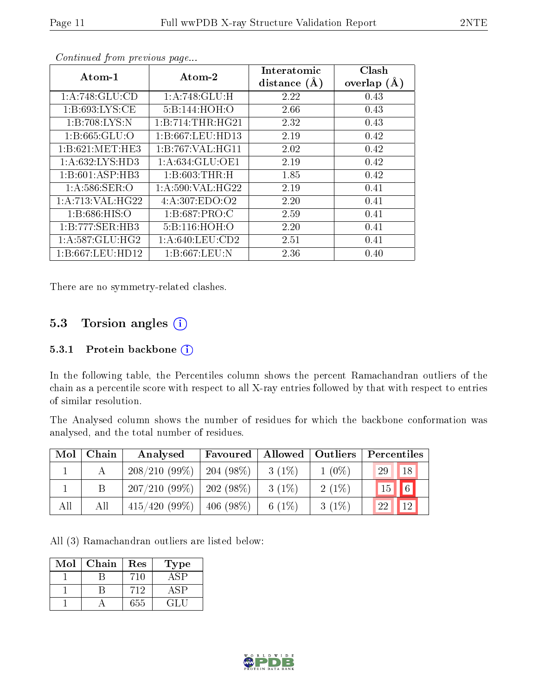| Atom-1            | Atom-2             | Interatomic<br>distance $(A)$ | Clash<br>overlap $(A)$ |
|-------------------|--------------------|-------------------------------|------------------------|
| 1: A:748: GLU:CD  | 1:A:748:GLU:H      | 2.22                          | 0.43                   |
| 1: B:693: LYS: CE | 5:B:144:HOH:O      | 2.66                          | 0.43                   |
| 1:B:708:LYS:N     | 1:B:714:THR:HG21   | 2.32                          | 0.43                   |
| 1:B:665:GLU:O     | 1:B:667:LEU:HD13   | 2.19                          | 0.42                   |
| 1:B:621:MET:HE3   | 1:B:767:VAL:HG11   | 2.02                          | 0.42                   |
| 1: A:632:LYS:HD3  | 1: A:634: GLU:OE1  | 2.19                          | 0.42                   |
| 1:B:601:ASP:HB3   | 1: B:603:THR:H     | 1.85                          | 0.42                   |
| 1: A:586: SER:O   | 1: A:590: VAL:HG22 | 2.19                          | 0.41                   |
| 1:A:713:VAL:HG22  | 4: A: 307: EDO: O2 | 2.20                          | 0.41                   |
| 1: B:686: HIS:O   | 1: B:687: PRO:C    | 2.59                          | 0.41                   |
| 1:B:777:SER:HB3   | 5:B:116:HOH:O      | 2.20                          | 0.41                   |
| 1: A:587: GLU:HG2 | 1: A:640:LEU:CD2   | 2.51                          | 0.41                   |
| 1:B:667:LEU:HD12  | 1: B:667:LEU:N     | 2.36                          | 0.40                   |

There are no symmetry-related clashes.

### 5.3 Torsion angles  $(i)$

#### 5.3.1 Protein backbone (i)

In the following table, the Percentiles column shows the percent Ramachandran outliers of the chain as a percentile score with respect to all X-ray entries followed by that with respect to entries of similar resolution.

The Analysed column shows the number of residues for which the backbone conformation was analysed, and the total number of residues.

| Mol | Chain | Analysed                      | <b>Favoured</b> | $\parallel$ Allowed $\parallel$ | $\vert$ Outliers | Percentiles       |
|-----|-------|-------------------------------|-----------------|---------------------------------|------------------|-------------------|
|     |       | $208/210(99\%)$               | $204(98\%)$     | $3(1\%)$                        | $1(0\%)$         | 29<br>$\sqrt{18}$ |
|     | В     | $207/210$ (99\%)   202 (98\%) |                 | $3(1\%)$                        | $2(1\%)$         | $\sqrt{6}$<br>15  |
| All | All   | $415/420(99\%)$               | $406(98\%)$     | 6 $(1%)$                        | $3(1\%)$         | 12<br>22          |

All (3) Ramachandran outliers are listed below:

| Mol | Chain | Res | Type        |
|-----|-------|-----|-------------|
|     |       | 71ſ |             |
|     |       | 712 | $\Delta$ SP |
|     |       | 655 | -21 -       |



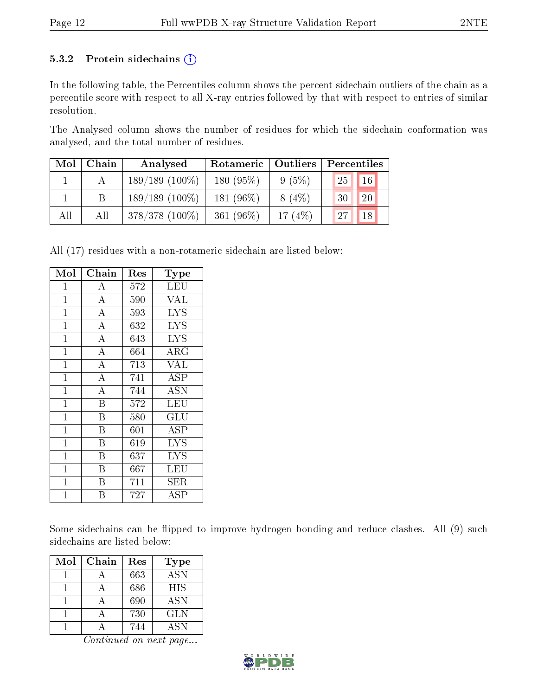#### 5.3.2 Protein sidechains  $(i)$

In the following table, the Percentiles column shows the percent sidechain outliers of the chain as a percentile score with respect to all X-ray entries followed by that with respect to entries of similar resolution.

The Analysed column shows the number of residues for which the sidechain conformation was analysed, and the total number of residues.

| Mol | Chain | Analysed          | Rotameric    | Outliers  | Percentiles           |
|-----|-------|-------------------|--------------|-----------|-----------------------|
|     |       | $189/189(100\%)$  | 180(95%)     | $9(5\%)$  | 16 <sup>1</sup><br>25 |
|     |       | $189/189(100\%)$  | 181 $(96\%)$ | $8(4\%)$  | 20<br>30              |
| All | All   | $378/378$ (100\%) | 361 $(96\%)$ | 17 $(4%)$ | 18<br>27              |

All (17) residues with a non-rotameric sidechain are listed below:

| Mol            | ${\bf Chain}$      | $\operatorname{Res}% \left( \mathcal{N}\right) \equiv\operatorname{Res}(\mathcal{N}_{0})\cap\mathcal{N}_{1}$ | Type                    |
|----------------|--------------------|--------------------------------------------------------------------------------------------------------------|-------------------------|
| $\overline{1}$ | А                  | 572                                                                                                          | LEU                     |
| $\mathbf{1}$   | $\overline{\rm A}$ | 590                                                                                                          | $\overline{\text{VAL}}$ |
| $\mathbf{1}$   | $\overline{A}$     | 593                                                                                                          | <b>LYS</b>              |
| $\mathbf{1}$   | $\overline{\rm A}$ | 632                                                                                                          | <b>LYS</b>              |
| $\mathbf{1}$   | $\overline{\rm A}$ | 643                                                                                                          | <b>LYS</b>              |
| $\mathbf{1}$   | $\overline{\rm A}$ | 664                                                                                                          | ${\rm ARG}$             |
| $\mathbf 1$    | $\overline{\rm A}$ | 713                                                                                                          | VAL                     |
| $\mathbf{1}$   | $\overline{\rm A}$ | 741                                                                                                          | ASP                     |
| $\mathbf{1}$   | $\overline{\rm A}$ | 744                                                                                                          | <b>ASN</b>              |
| $\mathbf{1}$   | B                  | 572                                                                                                          | LEU                     |
| $\mathbf{1}$   | B                  | 580                                                                                                          | GLU                     |
| $\overline{1}$ | B                  | 601                                                                                                          | ASP                     |
| $\overline{1}$ | B                  | 619                                                                                                          | <b>LYS</b>              |
| $\overline{1}$ | B                  | 637                                                                                                          | <b>LYS</b>              |
| $\overline{1}$ | B                  | 667                                                                                                          | LEU                     |
| $\mathbf{1}$   | B                  | 711                                                                                                          | SER                     |
| 1              | B                  | 727                                                                                                          | ASP                     |

Some sidechains can be flipped to improve hydrogen bonding and reduce clashes. All (9) such sidechains are listed below:

| Mol | Chain | Res | <b>Type</b> |
|-----|-------|-----|-------------|
|     |       | 663 | <b>ASN</b>  |
|     |       | 686 | <b>HIS</b>  |
|     |       | 690 | <b>ASN</b>  |
|     |       | 730 | <b>GLN</b>  |
|     |       | 744 | ASN         |

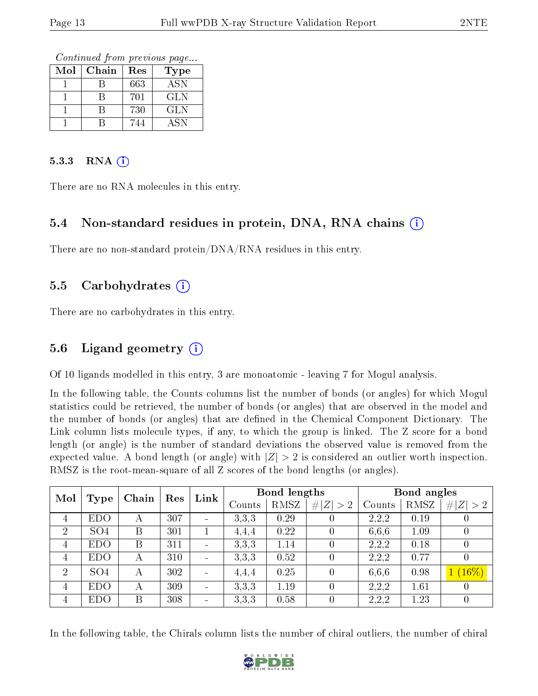Continued from previous page...

| Mol | Chain | Res | Type             |
|-----|-------|-----|------------------|
|     |       | 663 | $\overline{ASN}$ |
|     |       | 701 | GLN              |
|     |       | 730 | <b>GLN</b>       |
|     |       | 744 | <b>ASN</b>       |

#### 5.3.3 RNA  $(i)$

There are no RNA molecules in this entry.

#### 5.4 Non-standard residues in protein, DNA, RNA chains (i)

There are no non-standard protein/DNA/RNA residues in this entry.

#### 5.5 Carbohydrates  $(i)$

There are no carbohydrates in this entry.

#### 5.6 Ligand geometry  $(i)$

Of 10 ligands modelled in this entry, 3 are monoatomic - leaving 7 for Mogul analysis.

In the following table, the Counts columns list the number of bonds (or angles) for which Mogul statistics could be retrieved, the number of bonds (or angles) that are observed in the model and the number of bonds (or angles) that are defined in the Chemical Component Dictionary. The Link column lists molecule types, if any, to which the group is linked. The Z score for a bond length (or angle) is the number of standard deviations the observed value is removed from the expected value. A bond length (or angle) with  $|Z| > 2$  is considered an outlier worth inspection. RMSZ is the root-mean-square of all Z scores of the bond lengths (or angles).

| Mol            | <b>Type</b>     | Chain | Res | Link                     |        | Bond lengths |                  |        | Bond angles |                  |
|----------------|-----------------|-------|-----|--------------------------|--------|--------------|------------------|--------|-------------|------------------|
|                |                 |       |     |                          | Counts | RMSZ         | # $ Z  > 2$      | Counts | RMSZ        | # $ Z  > 2$      |
| $\overline{4}$ | <b>EDO</b>      | А     | 307 |                          | 3.3.3  | 0.29         |                  | 2,2,2  | 0.19        |                  |
| $\overline{2}$ | SO <sub>4</sub> | B     | 301 |                          | 4,4,4  | 0.22         | $\theta$         | 6,6,6  | 1.09        |                  |
| 4              | <b>EDO</b>      | B     | 311 | $\overline{\phantom{a}}$ | 3,3,3  | 1.14         | $\overline{0}$   | 2,2,2  | 0.18        | $\left( \right)$ |
| $\overline{4}$ | <b>EDO</b>      | А     | 310 | $\overline{\phantom{a}}$ | 3.3.3  | 0.52         | $\theta$         | 2,2,2  | 0.77        |                  |
| 2              | SO <sub>4</sub> | А     | 302 | $\blacksquare$           | 4,4,4  | 0.25         | $\overline{0}$   | 6,6,6  | 0.98        | $1(16\%)$        |
| 4              | <b>EDO</b>      | А     | 309 | $\blacksquare$           | 3.3.3  | 1.19         | $\left( \right)$ | 2,2,2  | 1.61        |                  |
| 4              | <b>EDO</b>      | Β     | 308 | $\blacksquare$           | 3,3,3  | 0.58         | $\overline{0}$   | 2,2,2  | 1.23        |                  |

In the following table, the Chirals column lists the number of chiral outliers, the number of chiral

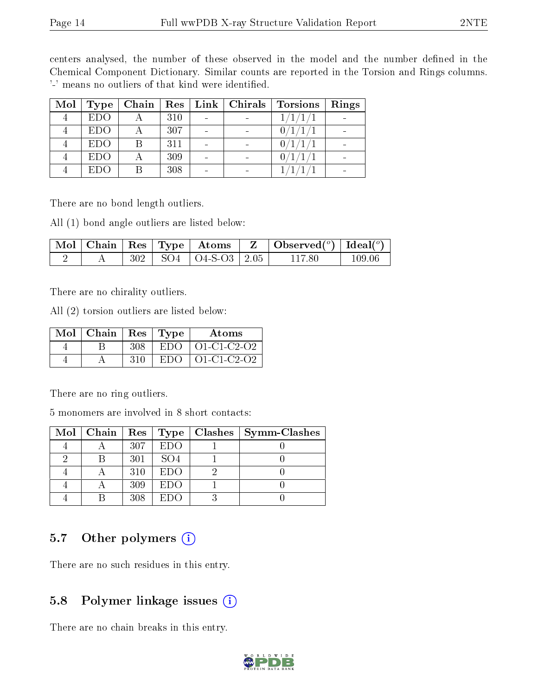centers analysed, the number of these observed in the model and the number defined in the Chemical Component Dictionary. Similar counts are reported in the Torsion and Rings columns. '-' means no outliers of that kind were identified.

| Mol | Type       |     | Chain   Res   Link   Chirals | <b>Torsions</b> | Rings |
|-----|------------|-----|------------------------------|-----------------|-------|
|     | <b>EDO</b> | 310 |                              | 1/1/            |       |
|     | <b>EDO</b> | 307 |                              | 0/1/1/          |       |
|     | <b>EDO</b> | 311 |                              | 0/1/1/          |       |
|     | <b>EDO</b> | 309 |                              | 0/1/1/          |       |
|     | EDO        | 308 |                              |                 |       |

There are no bond length outliers.

All (1) bond angle outliers are listed below:

|  |  |                              | $\mid$ Mol $\mid$ Chain $\mid$ Res $\mid$ Type $\mid$ Atoms $\mid$ Z $\mid$ Observed( $^o$ ) $\mid$ Ideal( $^o$ ) |        |
|--|--|------------------------------|-------------------------------------------------------------------------------------------------------------------|--------|
|  |  | $302$   SO4   O4-S-O3   2.05 | 117.80.                                                                                                           | 109 06 |

There are no chirality outliers.

All (2) torsion outliers are listed below:

| Mol | Chain |     | Res   Type | Atoms               |
|-----|-------|-----|------------|---------------------|
|     |       | 308 | EDO.       | $\vert$ O1-C1-C2-O2 |
|     |       | 310 | EDO.       | $O1-C1-C2-O2$       |

There are no ring outliers.

5 monomers are involved in 8 short contacts:

|  |     |                 | Mol   Chain   Res   Type   Clashes | <b>Symm-Clashes</b> |
|--|-----|-----------------|------------------------------------|---------------------|
|  | 307 | EDO             |                                    |                     |
|  | 301 | SO <sub>4</sub> |                                    |                     |
|  | 310 | EDO             |                                    |                     |
|  | 309 | EDO             |                                    |                     |
|  | 308 | $E1$ )()        |                                    |                     |

### 5.7 [O](https://www.wwpdb.org/validation/2017/XrayValidationReportHelp#nonstandard_residues_and_ligands)ther polymers  $(i)$

There are no such residues in this entry.

#### 5.8 Polymer linkage issues  $(i)$

There are no chain breaks in this entry.

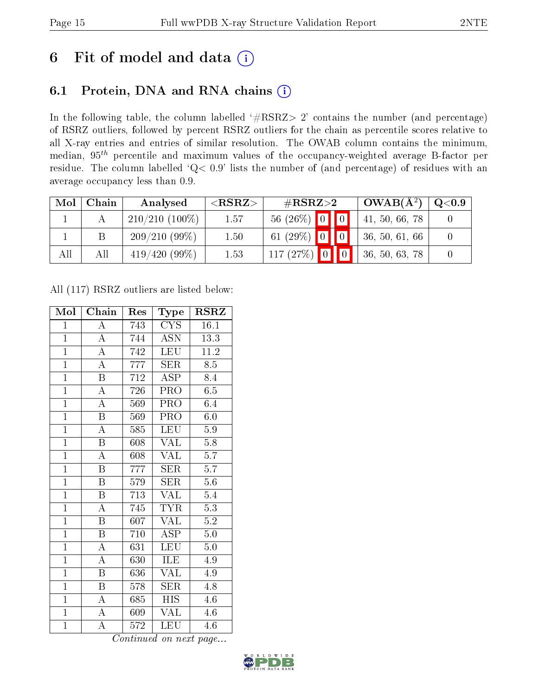## 6 Fit of model and data  $(i)$

### 6.1 Protein, DNA and RNA chains  $(i)$

In the following table, the column labelled  $#RSRZ> 2'$  contains the number (and percentage) of RSRZ outliers, followed by percent RSRZ outliers for the chain as percentile scores relative to all X-ray entries and entries of similar resolution. The OWAB column contains the minimum, median,  $95<sup>th</sup>$  percentile and maximum values of the occupancy-weighted average B-factor per residue. The column labelled ' $Q< 0.9$ ' lists the number of (and percentage) of residues with an average occupancy less than 0.9.

| Mol | Chain | Analysed         | ${ <\hspace{-1.5pt}{\mathrm{RSRZ}} \hspace{-1.5pt}>}$ | $\rm \#RSRZ{>}2$ | $\overline{\text{OWAB(A^2)}}$ | $\rm Q\textcolor{black}{<}0.9$ |
|-----|-------|------------------|-------------------------------------------------------|------------------|-------------------------------|--------------------------------|
|     |       | $210/210(100\%)$ | 1.57                                                  | $56(26\%)$ 0 0   | 41, 50, 66, 78                |                                |
|     |       | $209/210(99\%)$  | 1.50                                                  | 61 $(29\%)$ 0 0  | 36, 50, 61, 66                |                                |
| All | All   | 419/420(99%)     | 1.53                                                  | $117(27%)$ 0 0   | 36, 50, 63, 78                |                                |

All (117) RSRZ outliers are listed below:

| Mol            | Chain                   | Res | Type                    | <b>RSRZ</b>      |
|----------------|-------------------------|-----|-------------------------|------------------|
| $\mathbf{1}$   | $\overline{A}$          | 743 | <b>CYS</b>              | 16.1             |
| $\mathbf{1}$   | $\overline{A}$          | 744 | <b>ASN</b>              | 13.3             |
| $\overline{1}$ | $\overline{A}$          | 742 | <b>LEU</b>              | 11.2             |
| $\mathbf{1}$   | $\overline{\rm A}$      | 777 | SER                     | 8.5              |
| $\overline{1}$ | $\overline{\mathrm{B}}$ | 712 | ASP                     | 8.4              |
| $\overline{1}$ | A                       | 726 | PRO                     | 6.5              |
| $\overline{1}$ | $\overline{\rm A}$      | 569 | PRO                     | 6.4              |
| $\overline{1}$ | $\overline{\mathbf{B}}$ | 569 | PRO                     | 6.0              |
| $\overline{1}$ | $\overline{\rm A}$      | 585 | <b>LEU</b>              | 5.9              |
| $\overline{1}$ | $\overline{\mathrm{B}}$ | 608 | $\overline{\text{VAL}}$ | $\overline{5.8}$ |
| $\overline{1}$ | $\overline{\rm A}$      | 608 | <b>VAL</b>              | 5.7              |
| $\overline{1}$ | $\overline{\mathrm{B}}$ | 777 | $\overline{\text{SER}}$ | $\overline{5.7}$ |
| $\overline{1}$ | $\overline{\mathrm{B}}$ | 579 | <b>SER</b>              | 5.6              |
| $\overline{1}$ | $\overline{\mathrm{B}}$ | 713 | <b>VAL</b>              | 5.4              |
| $\overline{1}$ | $\overline{\rm A}$      | 745 | $\overline{TYR}$        | $\overline{5.3}$ |
| $\overline{1}$ | $\overline{\mathrm{B}}$ | 607 | VAL                     | 5.2              |
| $\overline{1}$ | $\overline{\mathrm{B}}$ | 710 | $\overline{\text{ASP}}$ | $\overline{5.0}$ |
| $\mathbf{1}$   | $\boldsymbol{A}$        | 631 | <b>LEU</b>              | 5.0              |
| $\mathbf{1}$   | $\overline{\rm A}$      | 630 | ILE                     | 4.9              |
| $\overline{1}$ | $\overline{\mathrm{B}}$ | 636 | <b>VAL</b>              | 4.9              |
| $\overline{1}$ | $\boldsymbol{B}$        | 578 | <b>SER</b>              | 4.8              |
| $\overline{1}$ | A                       | 685 | <b>HIS</b>              | $4.6\,$          |
| $\overline{1}$ | $\boldsymbol{A}$        | 609 | $\overline{\text{VAL}}$ | 4.6              |
| $\overline{1}$ | $\overline{\rm A}$      | 572 | LEU                     | 4.6              |

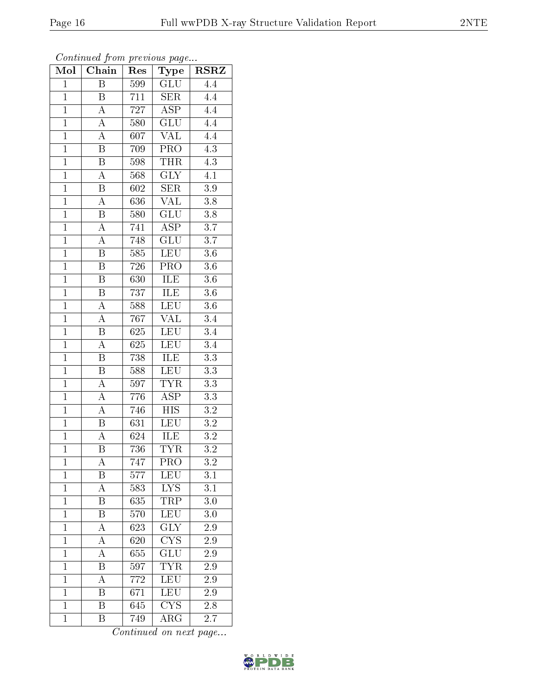| $\overline{\mathrm{B}}$<br>GLU<br>$\overline{4.4}$<br>$\overline{1}$<br>599<br>$\overline{711}$<br>$\mathbf{1}$<br><b>SER</b><br>B<br>4.4<br>$\overline{A}$<br>$\overline{\text{ASP}}$<br>$\overline{1}$<br>727<br>$\overline{4.4}$<br>$\overline{A}$<br>GLU<br>4.4<br>$\mathbf{1}$<br>580<br>$\overline{A}$<br><b>VAL</b><br>$\overline{4.4}$<br>$\overline{1}$<br>607<br>$\overline{1}$<br>$\, {\bf B}$<br>$PR\overline{O}$<br>4.3<br>709<br>$\overline{1}$<br>$\overline{4.3}$<br>$\overline{\mathrm{B}}$<br><b>THR</b><br>598<br>$\overline{1}$<br>$\overline{\rm A}$<br>$\overline{\text{GLY}}$<br>568<br>4.1<br>$\overline{1}$<br>$\overline{\mathrm{B}}$<br>SER<br>3.9<br>602<br>$\overline{A}$<br>$\overline{\text{VAL}}$<br>$\overline{1}$<br>$\overline{3.8}$<br>636<br>$\overline{1}$<br>$\overline{\text{GLU}}$<br>$\overline{3.8}$<br>580<br>B<br>$\overline{1}$<br>$\overline{\rm ASP}$<br>$\overline{3.7}$<br>$\overline{\rm A}$<br>741<br>$\overline{1}$<br>748<br>$\overline{\text{GLU}}$<br>A<br>$\overline{3.7}$<br>$\overline{1}$<br>$\overline{\mathrm{B}}$<br>$\overline{\text{LEU}}$<br>585<br>3.6<br>$\overline{1}$<br>$\overline{\mathrm{B}}$<br>726<br>$\overline{\text{PRO}}$<br>$\overline{3.6}$<br>$\overline{1}$<br>$\overline{\mathrm{B}}$<br>ILE<br>$3.6\,$<br>630<br>$\overline{1}$<br>ILE<br>$\overline{\mathrm{B}}$<br>$\overline{3.6}$<br>737<br><b>LEU</b><br>$\mathbf{1}$<br>$\boldsymbol{A}$<br>$3.\overline{6}$<br>588<br><b>VAL</b><br>$\boldsymbol{A}$<br>767<br>$3.\overline{4}$<br>$\mathbf{1}$<br>$\overline{\mathrm{B}}$<br>$\overline{1}$<br>625<br>LEU<br>$\overline{3.4}$<br>$\overline{\rm A}$<br>$\overline{1}$<br><b>LEU</b><br>3.4<br>625<br>$\overline{1}$<br>$\overline{\mathrm{B}}$<br>738<br><b>ILE</b><br>$\overline{3.3}$<br>LEU<br>3.3<br>$\mathbf{1}$<br>B<br>588<br>$\overline{\rm A}$<br><b>TYR</b><br>$\overline{3.3}$<br>$\overline{1}$<br>597<br>$\overline{A}$<br>$\overline{\text{ASP}}$<br>$\overline{1}$<br>3.3<br>776 | Mol            | Chain          | $\operatorname{Res}% \left( \mathcal{N}\right) \equiv\operatorname{Res}(\mathcal{N}_{0})\cap\mathcal{N}_{1}$ | Type             | <b>RSRZ</b>      |
|----------------------------------------------------------------------------------------------------------------------------------------------------------------------------------------------------------------------------------------------------------------------------------------------------------------------------------------------------------------------------------------------------------------------------------------------------------------------------------------------------------------------------------------------------------------------------------------------------------------------------------------------------------------------------------------------------------------------------------------------------------------------------------------------------------------------------------------------------------------------------------------------------------------------------------------------------------------------------------------------------------------------------------------------------------------------------------------------------------------------------------------------------------------------------------------------------------------------------------------------------------------------------------------------------------------------------------------------------------------------------------------------------------------------------------------------------------------------------------------------------------------------------------------------------------------------------------------------------------------------------------------------------------------------------------------------------------------------------------------------------------------------------------------------------------------------------------------------------------------------------------------------------------------------------------------------------------------------------------------------|----------------|----------------|--------------------------------------------------------------------------------------------------------------|------------------|------------------|
|                                                                                                                                                                                                                                                                                                                                                                                                                                                                                                                                                                                                                                                                                                                                                                                                                                                                                                                                                                                                                                                                                                                                                                                                                                                                                                                                                                                                                                                                                                                                                                                                                                                                                                                                                                                                                                                                                                                                                                                              |                |                |                                                                                                              |                  |                  |
|                                                                                                                                                                                                                                                                                                                                                                                                                                                                                                                                                                                                                                                                                                                                                                                                                                                                                                                                                                                                                                                                                                                                                                                                                                                                                                                                                                                                                                                                                                                                                                                                                                                                                                                                                                                                                                                                                                                                                                                              |                |                |                                                                                                              |                  |                  |
|                                                                                                                                                                                                                                                                                                                                                                                                                                                                                                                                                                                                                                                                                                                                                                                                                                                                                                                                                                                                                                                                                                                                                                                                                                                                                                                                                                                                                                                                                                                                                                                                                                                                                                                                                                                                                                                                                                                                                                                              |                |                |                                                                                                              |                  |                  |
|                                                                                                                                                                                                                                                                                                                                                                                                                                                                                                                                                                                                                                                                                                                                                                                                                                                                                                                                                                                                                                                                                                                                                                                                                                                                                                                                                                                                                                                                                                                                                                                                                                                                                                                                                                                                                                                                                                                                                                                              |                |                |                                                                                                              |                  |                  |
|                                                                                                                                                                                                                                                                                                                                                                                                                                                                                                                                                                                                                                                                                                                                                                                                                                                                                                                                                                                                                                                                                                                                                                                                                                                                                                                                                                                                                                                                                                                                                                                                                                                                                                                                                                                                                                                                                                                                                                                              |                |                |                                                                                                              |                  |                  |
|                                                                                                                                                                                                                                                                                                                                                                                                                                                                                                                                                                                                                                                                                                                                                                                                                                                                                                                                                                                                                                                                                                                                                                                                                                                                                                                                                                                                                                                                                                                                                                                                                                                                                                                                                                                                                                                                                                                                                                                              |                |                |                                                                                                              |                  |                  |
|                                                                                                                                                                                                                                                                                                                                                                                                                                                                                                                                                                                                                                                                                                                                                                                                                                                                                                                                                                                                                                                                                                                                                                                                                                                                                                                                                                                                                                                                                                                                                                                                                                                                                                                                                                                                                                                                                                                                                                                              |                |                |                                                                                                              |                  |                  |
|                                                                                                                                                                                                                                                                                                                                                                                                                                                                                                                                                                                                                                                                                                                                                                                                                                                                                                                                                                                                                                                                                                                                                                                                                                                                                                                                                                                                                                                                                                                                                                                                                                                                                                                                                                                                                                                                                                                                                                                              |                |                |                                                                                                              |                  |                  |
|                                                                                                                                                                                                                                                                                                                                                                                                                                                                                                                                                                                                                                                                                                                                                                                                                                                                                                                                                                                                                                                                                                                                                                                                                                                                                                                                                                                                                                                                                                                                                                                                                                                                                                                                                                                                                                                                                                                                                                                              |                |                |                                                                                                              |                  |                  |
|                                                                                                                                                                                                                                                                                                                                                                                                                                                                                                                                                                                                                                                                                                                                                                                                                                                                                                                                                                                                                                                                                                                                                                                                                                                                                                                                                                                                                                                                                                                                                                                                                                                                                                                                                                                                                                                                                                                                                                                              |                |                |                                                                                                              |                  |                  |
|                                                                                                                                                                                                                                                                                                                                                                                                                                                                                                                                                                                                                                                                                                                                                                                                                                                                                                                                                                                                                                                                                                                                                                                                                                                                                                                                                                                                                                                                                                                                                                                                                                                                                                                                                                                                                                                                                                                                                                                              |                |                |                                                                                                              |                  |                  |
|                                                                                                                                                                                                                                                                                                                                                                                                                                                                                                                                                                                                                                                                                                                                                                                                                                                                                                                                                                                                                                                                                                                                                                                                                                                                                                                                                                                                                                                                                                                                                                                                                                                                                                                                                                                                                                                                                                                                                                                              |                |                |                                                                                                              |                  |                  |
|                                                                                                                                                                                                                                                                                                                                                                                                                                                                                                                                                                                                                                                                                                                                                                                                                                                                                                                                                                                                                                                                                                                                                                                                                                                                                                                                                                                                                                                                                                                                                                                                                                                                                                                                                                                                                                                                                                                                                                                              |                |                |                                                                                                              |                  |                  |
|                                                                                                                                                                                                                                                                                                                                                                                                                                                                                                                                                                                                                                                                                                                                                                                                                                                                                                                                                                                                                                                                                                                                                                                                                                                                                                                                                                                                                                                                                                                                                                                                                                                                                                                                                                                                                                                                                                                                                                                              |                |                |                                                                                                              |                  |                  |
|                                                                                                                                                                                                                                                                                                                                                                                                                                                                                                                                                                                                                                                                                                                                                                                                                                                                                                                                                                                                                                                                                                                                                                                                                                                                                                                                                                                                                                                                                                                                                                                                                                                                                                                                                                                                                                                                                                                                                                                              |                |                |                                                                                                              |                  |                  |
|                                                                                                                                                                                                                                                                                                                                                                                                                                                                                                                                                                                                                                                                                                                                                                                                                                                                                                                                                                                                                                                                                                                                                                                                                                                                                                                                                                                                                                                                                                                                                                                                                                                                                                                                                                                                                                                                                                                                                                                              |                |                |                                                                                                              |                  |                  |
|                                                                                                                                                                                                                                                                                                                                                                                                                                                                                                                                                                                                                                                                                                                                                                                                                                                                                                                                                                                                                                                                                                                                                                                                                                                                                                                                                                                                                                                                                                                                                                                                                                                                                                                                                                                                                                                                                                                                                                                              |                |                |                                                                                                              |                  |                  |
|                                                                                                                                                                                                                                                                                                                                                                                                                                                                                                                                                                                                                                                                                                                                                                                                                                                                                                                                                                                                                                                                                                                                                                                                                                                                                                                                                                                                                                                                                                                                                                                                                                                                                                                                                                                                                                                                                                                                                                                              |                |                |                                                                                                              |                  |                  |
|                                                                                                                                                                                                                                                                                                                                                                                                                                                                                                                                                                                                                                                                                                                                                                                                                                                                                                                                                                                                                                                                                                                                                                                                                                                                                                                                                                                                                                                                                                                                                                                                                                                                                                                                                                                                                                                                                                                                                                                              |                |                |                                                                                                              |                  |                  |
|                                                                                                                                                                                                                                                                                                                                                                                                                                                                                                                                                                                                                                                                                                                                                                                                                                                                                                                                                                                                                                                                                                                                                                                                                                                                                                                                                                                                                                                                                                                                                                                                                                                                                                                                                                                                                                                                                                                                                                                              |                |                |                                                                                                              |                  |                  |
|                                                                                                                                                                                                                                                                                                                                                                                                                                                                                                                                                                                                                                                                                                                                                                                                                                                                                                                                                                                                                                                                                                                                                                                                                                                                                                                                                                                                                                                                                                                                                                                                                                                                                                                                                                                                                                                                                                                                                                                              |                |                |                                                                                                              |                  |                  |
|                                                                                                                                                                                                                                                                                                                                                                                                                                                                                                                                                                                                                                                                                                                                                                                                                                                                                                                                                                                                                                                                                                                                                                                                                                                                                                                                                                                                                                                                                                                                                                                                                                                                                                                                                                                                                                                                                                                                                                                              |                |                |                                                                                                              |                  |                  |
|                                                                                                                                                                                                                                                                                                                                                                                                                                                                                                                                                                                                                                                                                                                                                                                                                                                                                                                                                                                                                                                                                                                                                                                                                                                                                                                                                                                                                                                                                                                                                                                                                                                                                                                                                                                                                                                                                                                                                                                              |                |                |                                                                                                              |                  |                  |
|                                                                                                                                                                                                                                                                                                                                                                                                                                                                                                                                                                                                                                                                                                                                                                                                                                                                                                                                                                                                                                                                                                                                                                                                                                                                                                                                                                                                                                                                                                                                                                                                                                                                                                                                                                                                                                                                                                                                                                                              |                |                |                                                                                                              |                  |                  |
|                                                                                                                                                                                                                                                                                                                                                                                                                                                                                                                                                                                                                                                                                                                                                                                                                                                                                                                                                                                                                                                                                                                                                                                                                                                                                                                                                                                                                                                                                                                                                                                                                                                                                                                                                                                                                                                                                                                                                                                              |                |                |                                                                                                              |                  |                  |
|                                                                                                                                                                                                                                                                                                                                                                                                                                                                                                                                                                                                                                                                                                                                                                                                                                                                                                                                                                                                                                                                                                                                                                                                                                                                                                                                                                                                                                                                                                                                                                                                                                                                                                                                                                                                                                                                                                                                                                                              | $\overline{1}$ | $\overline{A}$ | 746                                                                                                          | $\overline{HIS}$ | $\overline{3.2}$ |
| $\overline{\mathrm{B}}$<br>LEU<br>$\overline{3.2}$<br>$\overline{1}$<br>631                                                                                                                                                                                                                                                                                                                                                                                                                                                                                                                                                                                                                                                                                                                                                                                                                                                                                                                                                                                                                                                                                                                                                                                                                                                                                                                                                                                                                                                                                                                                                                                                                                                                                                                                                                                                                                                                                                                  |                |                |                                                                                                              |                  |                  |
| $\overline{1}$<br>$\overline{3.2}$<br>A<br>624<br>ILE                                                                                                                                                                                                                                                                                                                                                                                                                                                                                                                                                                                                                                                                                                                                                                                                                                                                                                                                                                                                                                                                                                                                                                                                                                                                                                                                                                                                                                                                                                                                                                                                                                                                                                                                                                                                                                                                                                                                        |                |                |                                                                                                              |                  |                  |
| $\overline{1}$<br>$\overline{\mathrm{B}}$<br>736<br>$\overline{\text{TYR}}$<br>$\overline{3.2}$                                                                                                                                                                                                                                                                                                                                                                                                                                                                                                                                                                                                                                                                                                                                                                                                                                                                                                                                                                                                                                                                                                                                                                                                                                                                                                                                                                                                                                                                                                                                                                                                                                                                                                                                                                                                                                                                                              |                |                |                                                                                                              |                  |                  |
| 747<br>PRO<br>3.2<br>$\mathbf 1$<br>А                                                                                                                                                                                                                                                                                                                                                                                                                                                                                                                                                                                                                                                                                                                                                                                                                                                                                                                                                                                                                                                                                                                                                                                                                                                                                                                                                                                                                                                                                                                                                                                                                                                                                                                                                                                                                                                                                                                                                        |                |                |                                                                                                              |                  |                  |
| $\mathbf{1}$<br>$3.\overline{1}$<br>Β<br>577<br><b>LEU</b>                                                                                                                                                                                                                                                                                                                                                                                                                                                                                                                                                                                                                                                                                                                                                                                                                                                                                                                                                                                                                                                                                                                                                                                                                                                                                                                                                                                                                                                                                                                                                                                                                                                                                                                                                                                                                                                                                                                                   |                |                |                                                                                                              |                  |                  |
| $\overline{1}$<br>${\rm LYS}$<br>$\overline{3.1}$<br>A<br>583                                                                                                                                                                                                                                                                                                                                                                                                                                                                                                                                                                                                                                                                                                                                                                                                                                                                                                                                                                                                                                                                                                                                                                                                                                                                                                                                                                                                                                                                                                                                                                                                                                                                                                                                                                                                                                                                                                                                |                |                |                                                                                                              |                  |                  |
| B<br>TRP<br>$\mathbf{1}$<br>635<br>3.0                                                                                                                                                                                                                                                                                                                                                                                                                                                                                                                                                                                                                                                                                                                                                                                                                                                                                                                                                                                                                                                                                                                                                                                                                                                                                                                                                                                                                                                                                                                                                                                                                                                                                                                                                                                                                                                                                                                                                       |                |                |                                                                                                              |                  |                  |
| LEU<br>$\mathbf{1}$<br>Β<br>570<br>3.0                                                                                                                                                                                                                                                                                                                                                                                                                                                                                                                                                                                                                                                                                                                                                                                                                                                                                                                                                                                                                                                                                                                                                                                                                                                                                                                                                                                                                                                                                                                                                                                                                                                                                                                                                                                                                                                                                                                                                       |                |                |                                                                                                              |                  |                  |
| $\rm{GL}\overline{Y}$<br>$\mathbf{1}$<br>А<br>623<br>$2.9\,$                                                                                                                                                                                                                                                                                                                                                                                                                                                                                                                                                                                                                                                                                                                                                                                                                                                                                                                                                                                                                                                                                                                                                                                                                                                                                                                                                                                                                                                                                                                                                                                                                                                                                                                                                                                                                                                                                                                                 |                |                |                                                                                                              |                  |                  |
| $\overline{1}$<br>CYS<br>А<br>620<br>$2.9\,$                                                                                                                                                                                                                                                                                                                                                                                                                                                                                                                                                                                                                                                                                                                                                                                                                                                                                                                                                                                                                                                                                                                                                                                                                                                                                                                                                                                                                                                                                                                                                                                                                                                                                                                                                                                                                                                                                                                                                 |                |                |                                                                                                              |                  |                  |
| GLU<br>$\mathbf{1}$<br>A<br>655<br>2.9                                                                                                                                                                                                                                                                                                                                                                                                                                                                                                                                                                                                                                                                                                                                                                                                                                                                                                                                                                                                                                                                                                                                                                                                                                                                                                                                                                                                                                                                                                                                                                                                                                                                                                                                                                                                                                                                                                                                                       |                |                |                                                                                                              |                  |                  |
| $\overline{\text{TYR}}$<br>B<br>597<br>$\mathbf{1}$<br>$2.9\,$                                                                                                                                                                                                                                                                                                                                                                                                                                                                                                                                                                                                                                                                                                                                                                                                                                                                                                                                                                                                                                                                                                                                                                                                                                                                                                                                                                                                                                                                                                                                                                                                                                                                                                                                                                                                                                                                                                                               |                |                |                                                                                                              |                  |                  |
| $\overline{1}$<br>LEU<br>A<br>$772\,$<br>2.9                                                                                                                                                                                                                                                                                                                                                                                                                                                                                                                                                                                                                                                                                                                                                                                                                                                                                                                                                                                                                                                                                                                                                                                                                                                                                                                                                                                                                                                                                                                                                                                                                                                                                                                                                                                                                                                                                                                                                 |                |                |                                                                                                              |                  |                  |
| LEU<br>$\mathbf{1}$<br>Β<br>671<br>2.9                                                                                                                                                                                                                                                                                                                                                                                                                                                                                                                                                                                                                                                                                                                                                                                                                                                                                                                                                                                                                                                                                                                                                                                                                                                                                                                                                                                                                                                                                                                                                                                                                                                                                                                                                                                                                                                                                                                                                       |                |                |                                                                                                              |                  |                  |
| $\overline{\mathrm{B}}$<br>$\overline{\text{CYS}}$<br>$\overline{1}$<br>645<br>2.8                                                                                                                                                                                                                                                                                                                                                                                                                                                                                                                                                                                                                                                                                                                                                                                                                                                                                                                                                                                                                                                                                                                                                                                                                                                                                                                                                                                                                                                                                                                                                                                                                                                                                                                                                                                                                                                                                                           |                |                |                                                                                                              |                  |                  |
| 749<br>$\rm{ARG}$<br>$\mathbf{1}$<br>Β<br>2.7                                                                                                                                                                                                                                                                                                                                                                                                                                                                                                                                                                                                                                                                                                                                                                                                                                                                                                                                                                                                                                                                                                                                                                                                                                                                                                                                                                                                                                                                                                                                                                                                                                                                                                                                                                                                                                                                                                                                                |                |                |                                                                                                              |                  |                  |

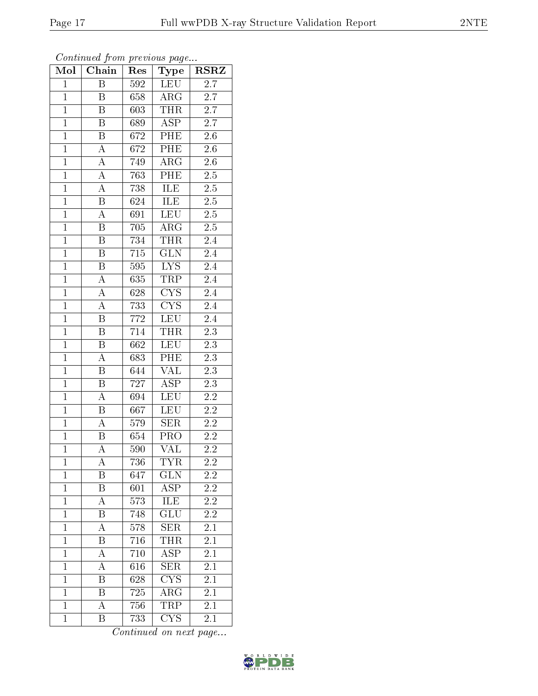| Mol            | Chain                   | Res              | Type                    | $_{\rm RSRZ}$    |
|----------------|-------------------------|------------------|-------------------------|------------------|
| $\mathbf{1}$   | $\overline{B}$          | 592              | <b>LEU</b>              | 2.7              |
| $\mathbf{1}$   | B                       | 658              | $\rm{ARG}$              | 2.7              |
| $\overline{1}$ | $\overline{\mathrm{B}}$ | 603              | <b>THR</b>              | $\overline{2.7}$ |
| $\overline{1}$ | B                       | 689              | <b>ASP</b>              | $2.\overline{7}$ |
| $\overline{1}$ | $\overline{\mathrm{B}}$ | 672              | PHE                     | $\overline{2.6}$ |
| $\overline{1}$ | $\mathbf A$             | $\overline{672}$ | PHE                     | 2.6              |
| $\overline{1}$ | $\overline{\rm A}$      | 749              | $\rm{ARG}$              | $\overline{2.6}$ |
| $\overline{1}$ | $\overline{A}$          | 763              | PHE                     | $2.\overline{5}$ |
| $\overline{1}$ | $\boldsymbol{A}$        | 738              | ILE                     | $\overline{2.5}$ |
| $\overline{1}$ | $\overline{\mathrm{B}}$ | 624              | ILE                     | $\overline{2.5}$ |
| $\overline{1}$ | $\boldsymbol{A}$        | 691              | LEU                     | $2.\overline{5}$ |
| $\overline{1}$ | $\overline{\mathrm{B}}$ | 705              | ARG                     | $2.\overline{5}$ |
| $\overline{1}$ | $\boldsymbol{B}$        | 734              | <b>THR</b>              | 2.4              |
| $\overline{1}$ | $\boldsymbol{B}$        | 715              | $\overline{\text{GLN}}$ | 2.4              |
| $\overline{1}$ | $\overline{\mathrm{B}}$ | 595              | $\overline{\text{LYS}}$ | $\overline{2.4}$ |
| $\mathbf{1}$   | A                       | 635              | TRP                     | 2.4              |
| $\overline{1}$ | $\boldsymbol{A}$        | 628              | $\overline{\text{CYS}}$ | $\overline{2.4}$ |
| $\mathbf{1}$   | $\boldsymbol{A}$        | 733              | CYS                     | 2.4              |
| $\overline{1}$ | B                       | 772              | LEU                     | 2.4              |
| $\overline{1}$ | $\overline{\mathrm{B}}$ | 714              | <b>THR</b>              | $\overline{2.3}$ |
| $\mathbf{1}$   | $\boldsymbol{B}$        | 662              | LEU                     | 2.3              |
| $\overline{1}$ | $\overline{A}$          | 683              | PHE                     | $\overline{2.3}$ |
| $\overline{1}$ | B                       | 644              | <b>VAL</b>              | 2.3              |
| $\overline{1}$ | $\overline{\mathrm{B}}$ | 727              | $\overline{\text{ASP}}$ | $\overline{2.3}$ |
| $\mathbf{1}$   | $\overline{\rm A}$      | 694              | LEU                     | 2.2              |
| $\overline{1}$ | $\boldsymbol{B}$        | 667              | <b>LEU</b>              | 2.2              |
| $\overline{1}$ | $\overline{\rm A}$      | $\overline{579}$ | SER                     | $\overline{2.2}$ |
| $\overline{1}$ | B                       | 654              | $\overline{\text{PRO}}$ | 2.2              |
| $\overline{1}$ | $\overline{\rm A}$      | 590              | $\overline{\text{VAL}}$ | $2.\overline{2}$ |
| $\mathbf 1$    | A                       | 736              | <b>TYR</b>              | 2.2              |
| $\mathbf{1}$   | Β                       | 647              | $GL\overline{N}$        | 2.2              |
| $\mathbf{1}$   | B                       | 601              | $\overline{ASP}$        | 2.2              |
| $\mathbf{1}$   | A                       | 573              | ILE                     | $2.\overline{2}$ |
| $\mathbf{1}$   | Β                       | 748              | $\overline{{\rm GLU}}$  | 2.2              |
| $\mathbf 1$    | А                       | 578              | <b>SER</b>              | 2.1              |
| $\mathbf{1}$   | B                       | 716              | THR                     | 2.1              |
| $\mathbf{1}$   | A                       | 710              | <b>ASP</b>              | 2.1              |
| $\mathbf{1}$   | A                       | 616              | <b>SER</b>              | 2.1              |
| $\mathbf{1}$   | $\overline{\mathrm{B}}$ | 628              | $\overline{\text{CYS}}$ | $\overline{2.1}$ |
| $\mathbf{1}$   | $\, {\bf B}$            | 725              | $\rm{ARG}$              | 2.1              |
| $\mathbf{1}$   | А                       | 756              | <b>TRP</b>              | 2.1              |
| $\mathbf{1}$   | Β                       | 733              | <b>CYS</b>              | 2.1              |